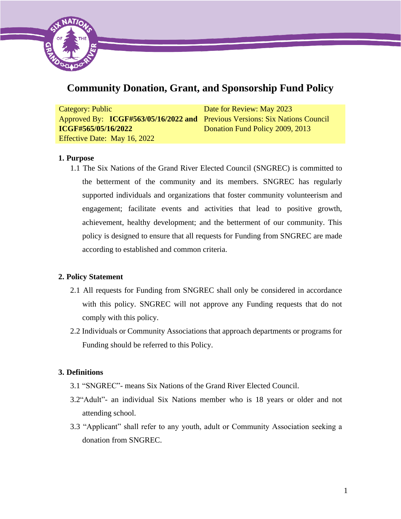

# **Community Donation, Grant, and Sponsorship Fund Policy**

| Category: Public                                                            | Date for Review: May 2023       |
|-----------------------------------------------------------------------------|---------------------------------|
| Approved By: ICGF#563/05/16/2022 and Previous Versions: Six Nations Council |                                 |
| <b>ICGF#565/05/16/2022</b>                                                  | Donation Fund Policy 2009, 2013 |
| Effective Date: May 16, 2022                                                |                                 |

# **1. Purpose**

1.1 The Six Nations of the Grand River Elected Council (SNGREC) is committed to the betterment of the community and its members. SNGREC has regularly supported individuals and organizations that foster community volunteerism and engagement; facilitate events and activities that lead to positive growth, achievement, healthy development; and the betterment of our community. This policy is designed to ensure that all requests for Funding from SNGREC are made according to established and common criteria.

# **2. Policy Statement**

- 2.1 All requests for Funding from SNGREC shall only be considered in accordance with this policy. SNGREC will not approve any Funding requests that do not comply with this policy.
- 2.2 Individuals or Community Associations that approach departments or programs for Funding should be referred to this Policy.

# **3. Definitions**

- 3.1 "SNGREC"- means Six Nations of the Grand River Elected Council.
- 3.2"Adult"- an individual Six Nations member who is 18 years or older and not attending school.
- 3.3 "Applicant" shall refer to any youth, adult or Community Association seeking a donation from SNGREC.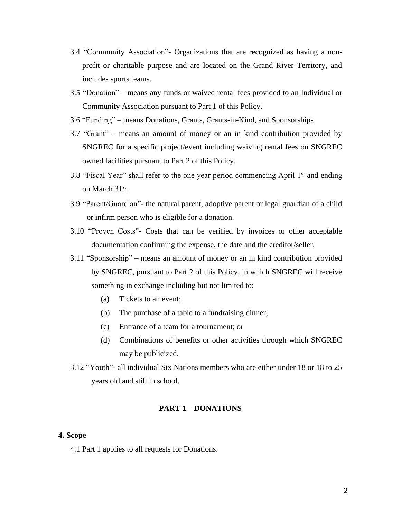- 3.4 "Community Association"- Organizations that are recognized as having a nonprofit or charitable purpose and are located on the Grand River Territory, and includes sports teams.
- 3.5 "Donation" means any funds or waived rental fees provided to an Individual or Community Association pursuant to Part 1 of this Policy.
- 3.6 "Funding" means Donations, Grants, Grants-in-Kind, and Sponsorships
- 3.7 "Grant" means an amount of money or an in kind contribution provided by SNGREC for a specific project/event including waiving rental fees on SNGREC owned facilities pursuant to Part 2 of this Policy.
- 3.8 "Fiscal Year" shall refer to the one year period commencing April 1st and ending on March 31<sup>st</sup>.
- 3.9 "Parent/Guardian"- the natural parent, adoptive parent or legal guardian of a child or infirm person who is eligible for a donation.
- 3.10 "Proven Costs"- Costs that can be verified by invoices or other acceptable documentation confirming the expense, the date and the creditor/seller.
- 3.11 "Sponsorship" means an amount of money or an in kind contribution provided by SNGREC, pursuant to Part 2 of this Policy, in which SNGREC will receive something in exchange including but not limited to:
	- (a) Tickets to an event;
	- (b) The purchase of a table to a fundraising dinner;
	- (c) Entrance of a team for a tournament; or
	- (d) Combinations of benefits or other activities through which SNGREC may be publicized.
- 3.12 "Youth"- all individual Six Nations members who are either under 18 or 18 to 25 years old and still in school.

## **PART 1 – DONATIONS**

#### **4. Scope**

4.1 Part 1 applies to all requests for Donations.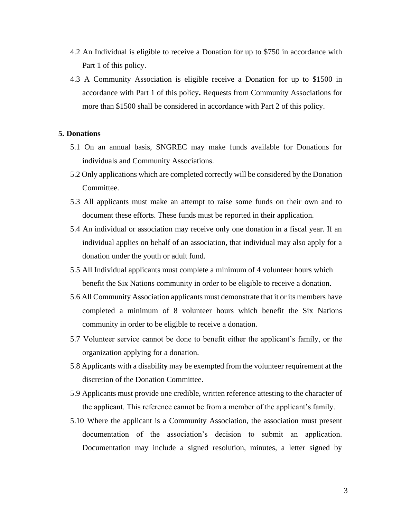- 4.2 An Individual is eligible to receive a Donation for up to \$750 in accordance with Part 1 of this policy.
- 4.3 A Community Association is eligible receive a Donation for up to \$1500 in accordance with Part 1 of this policy**.** Requests from Community Associations for more than \$1500 shall be considered in accordance with Part 2 of this policy.

## **5. Donations**

- 5.1 On an annual basis, SNGREC may make funds available for Donations for individuals and Community Associations.
- 5.2 Only applications which are completed correctly will be considered by the Donation Committee.
- 5.3 All applicants must make an attempt to raise some funds on their own and to document these efforts. These funds must be reported in their application.
- 5.4 An individual or association may receive only one donation in a fiscal year. If an individual applies on behalf of an association, that individual may also apply for a donation under the youth or adult fund.
- 5.5 All Individual applicants must complete a minimum of 4 volunteer hours which benefit the Six Nations community in order to be eligible to receive a donation.
- 5.6 All Community Association applicants must demonstrate that it or its members have completed a minimum of 8 volunteer hours which benefit the Six Nations community in order to be eligible to receive a donation.
- 5.7 Volunteer service cannot be done to benefit either the applicant's family, or the organization applying for a donation.
- 5.8 Applicants with a disabilit**y** may be exempted from the volunteer requirement at the discretion of the Donation Committee.
- 5.9 Applicants must provide one credible, written reference attesting to the character of the applicant. This reference cannot be from a member of the applicant's family.
- 5.10 Where the applicant is a Community Association, the association must present documentation of the association's decision to submit an application. Documentation may include a signed resolution, minutes, a letter signed by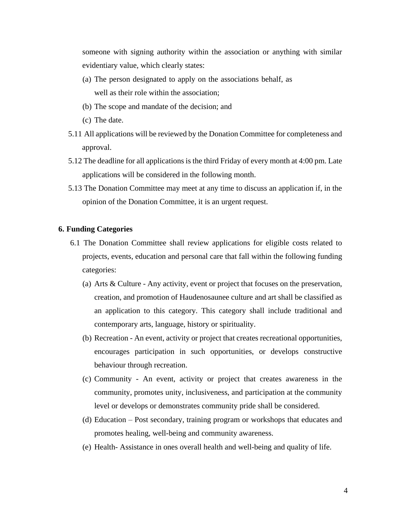someone with signing authority within the association or anything with similar evidentiary value, which clearly states:

- (a) The person designated to apply on the associations behalf, as well as their role within the association;
- (b) The scope and mandate of the decision; and
- (c) The date.
- 5.11 All applications will be reviewed by the Donation Committee for completeness and approval.
- 5.12 The deadline for all applications is the third Friday of every month at 4:00 pm. Late applications will be considered in the following month.
- 5.13 The Donation Committee may meet at any time to discuss an application if, in the opinion of the Donation Committee, it is an urgent request.

#### **6. Funding Categories**

- 6.1 The Donation Committee shall review applications for eligible costs related to projects, events, education and personal care that fall within the following funding categories:
	- (a) Arts & Culture Any activity, event or project that focuses on the preservation, creation, and promotion of Haudenosaunee culture and art shall be classified as an application to this category. This category shall include traditional and contemporary arts, language, history or spirituality.
	- (b) Recreation An event, activity or project that creates recreational opportunities, encourages participation in such opportunities, or develops constructive behaviour through recreation.
	- (c) Community An event, activity or project that creates awareness in the community, promotes unity, inclusiveness, and participation at the community level or develops or demonstrates community pride shall be considered.
	- (d) Education Post secondary, training program or workshops that educates and promotes healing, well-being and community awareness.
	- (e) Health- Assistance in ones overall health and well-being and quality of life.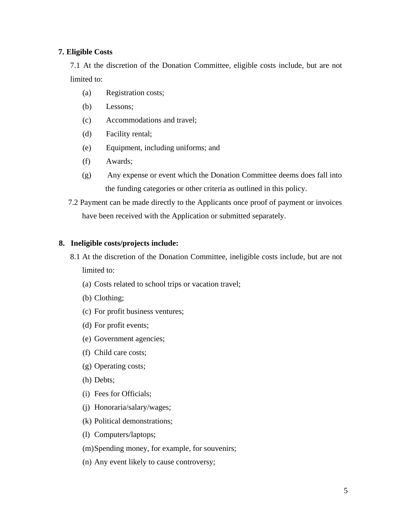# **7. Eligible Costs**

7.1 At the discretion of the Donation Committee, eligible costs include, but are not limited to:

- (a) Registration costs;
- (b) Lessons;
- (c) Accommodations and travel;
- (d) Facility rental;
- (e) Equipment, including uniforms; and
- (f) Awards;
- (g) Any expense or event which the Donation Committee deems does fall into the funding categories or other criteria as outlined in this policy.

7.2 Payment can be made directly to the Applicants once proof of payment or invoices have been received with the Application or submitted separately.

## **8. Ineligible costs/projects include:**

- 8.1 At the discretion of the Donation Committee, ineligible costs include, but are not limited to:
	- (a) Costs related to school trips or vacation travel;
	- (b) Clothing;
	- (c) For profit business ventures;
	- (d) For profit events;
	- (e) Government agencies;
	- (f) Child care costs;
	- (g) Operating costs;
	- (h) Debts;
	- (i) Fees for Officials;
	- (j) Honoraria/salary/wages;
	- (k) Political demonstrations;
	- (l) Computers/laptops;
	- (m)Spending money, for example, for souvenirs;
	- (n) Any event likely to cause controversy;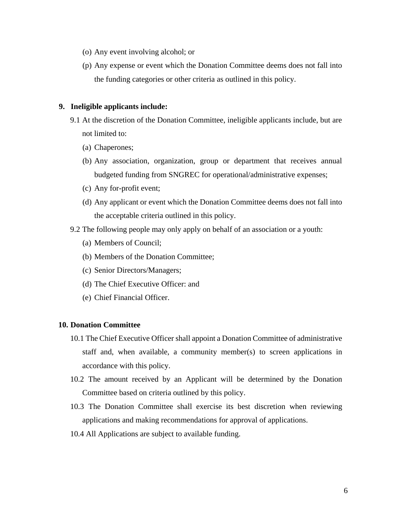- (o) Any event involving alcohol; or
- (p) Any expense or event which the Donation Committee deems does not fall into the funding categories or other criteria as outlined in this policy.

#### **9. Ineligible applicants include:**

- 9.1 At the discretion of the Donation Committee, ineligible applicants include, but are not limited to:
	- (a) Chaperones;
	- (b) Any association, organization, group or department that receives annual budgeted funding from SNGREC for operational/administrative expenses;
	- (c) Any for-profit event;
	- (d) Any applicant or event which the Donation Committee deems does not fall into the acceptable criteria outlined in this policy.
- 9.2 The following people may only apply on behalf of an association or a youth:
	- (a) Members of Council;
	- (b) Members of the Donation Committee;
	- (c) Senior Directors/Managers;
	- (d) The Chief Executive Officer: and
	- (e) Chief Financial Officer.

## **10. Donation Committee**

- 10.1 The Chief Executive Officer shall appoint a Donation Committee of administrative staff and, when available, a community member(s) to screen applications in accordance with this policy.
- 10.2 The amount received by an Applicant will be determined by the Donation Committee based on criteria outlined by this policy.
- 10.3 The Donation Committee shall exercise its best discretion when reviewing applications and making recommendations for approval of applications.
- 10.4 All Applications are subject to available funding.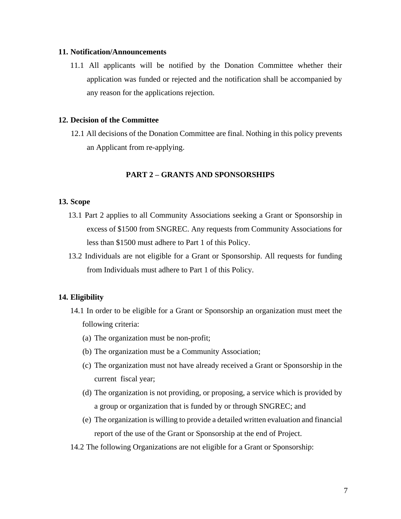#### **11. Notification/Announcements**

11.1 All applicants will be notified by the Donation Committee whether their application was funded or rejected and the notification shall be accompanied by any reason for the applications rejection.

## **12. Decision of the Committee**

12.1 All decisions of the Donation Committee are final. Nothing in this policy prevents an Applicant from re-applying.

#### **PART 2 – GRANTS AND SPONSORSHIPS**

# **13. Scope**

- 13.1 Part 2 applies to all Community Associations seeking a Grant or Sponsorship in excess of \$1500 from SNGREC. Any requests from Community Associations for less than \$1500 must adhere to Part 1 of this Policy.
- 13.2 Individuals are not eligible for a Grant or Sponsorship. All requests for funding from Individuals must adhere to Part 1 of this Policy.

#### **14. Eligibility**

- 14.1 In order to be eligible for a Grant or Sponsorship an organization must meet the following criteria:
	- (a) The organization must be non-profit;
	- (b) The organization must be a Community Association;
	- (c) The organization must not have already received a Grant or Sponsorship in the current fiscal year;
	- (d) The organization is not providing, or proposing, a service which is provided by a group or organization that is funded by or through SNGREC; and
	- (e) The organization is willing to provide a detailed written evaluation and financial report of the use of the Grant or Sponsorship at the end of Project.
- 14.2 The following Organizations are not eligible for a Grant or Sponsorship: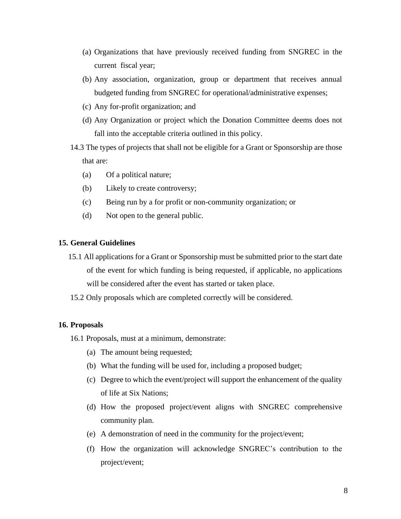- (a) Organizations that have previously received funding from SNGREC in the current fiscal year;
- (b) Any association, organization, group or department that receives annual budgeted funding from SNGREC for operational/administrative expenses;
- (c) Any for-profit organization; and
- (d) Any Organization or project which the Donation Committee deems does not fall into the acceptable criteria outlined in this policy.
- 14.3 The types of projects that shall not be eligible for a Grant or Sponsorship are those that are:
	- (a) Of a political nature;
	- (b) Likely to create controversy;
	- (c) Being run by a for profit or non-community organization; or
	- (d) Not open to the general public.

## **15. General Guidelines**

- 15.1 All applications for a Grant or Sponsorship must be submitted prior to the start date of the event for which funding is being requested, if applicable, no applications will be considered after the event has started or taken place.
- 15.2 Only proposals which are completed correctly will be considered.

#### **16. Proposals**

- 16.1 Proposals, must at a minimum, demonstrate:
	- (a) The amount being requested;
	- (b) What the funding will be used for, including a proposed budget;
	- (c) Degree to which the event/project will support the enhancement of the quality of life at Six Nations;
	- (d) How the proposed project/event aligns with SNGREC comprehensive community plan.
	- (e) A demonstration of need in the community for the project/event;
	- (f) How the organization will acknowledge SNGREC's contribution to the project/event;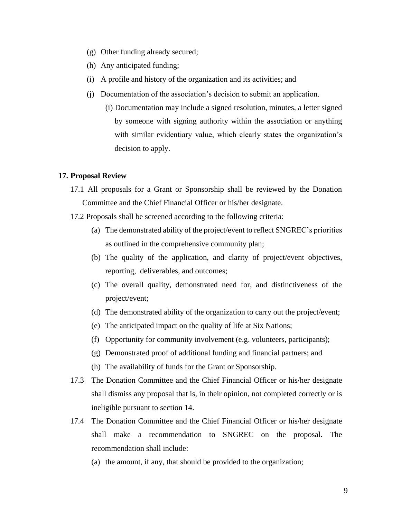- (g) Other funding already secured;
- (h) Any anticipated funding;
- (i) A profile and history of the organization and its activities; and
- (j) Documentation of the association's decision to submit an application.
	- (i) Documentation may include a signed resolution, minutes, a letter signed by someone with signing authority within the association or anything with similar evidentiary value, which clearly states the organization's decision to apply.

#### **17. Proposal Review**

- 17.1 All proposals for a Grant or Sponsorship shall be reviewed by the Donation Committee and the Chief Financial Officer or his/her designate.
- 17.2 Proposals shall be screened according to the following criteria:
	- (a) The demonstrated ability of the project/event to reflect SNGREC's priorities as outlined in the comprehensive community plan;
	- (b) The quality of the application, and clarity of project/event objectives, reporting, deliverables, and outcomes;
	- (c) The overall quality, demonstrated need for, and distinctiveness of the project/event;
	- (d) The demonstrated ability of the organization to carry out the project/event;
	- (e) The anticipated impact on the quality of life at Six Nations;
	- (f) Opportunity for community involvement (e.g. volunteers, participants);
	- (g) Demonstrated proof of additional funding and financial partners; and
	- (h) The availability of funds for the Grant or Sponsorship.
- 17.3 The Donation Committee and the Chief Financial Officer or his/her designate shall dismiss any proposal that is, in their opinion, not completed correctly or is ineligible pursuant to section 14.
- 17.4 The Donation Committee and the Chief Financial Officer or his/her designate shall make a recommendation to SNGREC on the proposal. The recommendation shall include:
	- (a) the amount, if any, that should be provided to the organization;